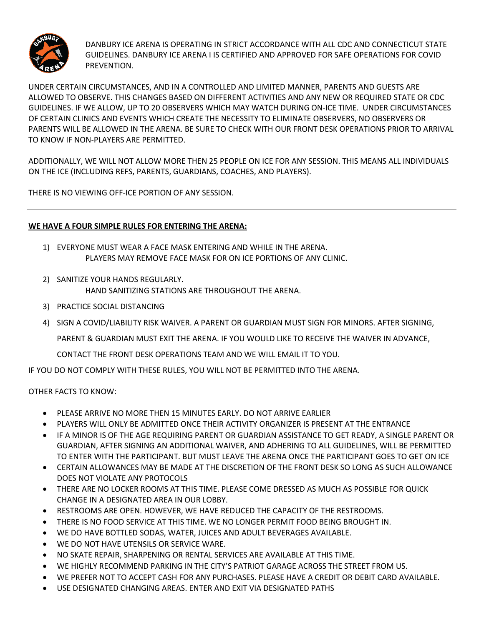

DANBURY ICE ARENA IS OPERATING IN STRICT ACCORDANCE WITH ALL CDC AND CONNECTICUT STATE GUIDELINES. DANBURY ICE ARENA I IS CERTIFIED AND APPROVED FOR SAFE OPERATIONS FOR COVID PREVENTION.

UNDER CERTAIN CIRCUMSTANCES, AND IN A CONTROLLED AND LIMITED MANNER, PARENTS AND GUESTS ARE ALLOWED TO OBSERVE. THIS CHANGES BASED ON DIFFERENT ACTIVITIES AND ANY NEW OR REQUIRED STATE OR CDC GUIDELINES. IF WE ALLOW, UP TO 20 OBSERVERS WHICH MAY WATCH DURING ON-ICE TIME. UNDER CIRCUMSTANCES OF CERTAIN CLINICS AND EVENTS WHICH CREATE THE NECESSITY TO ELIMINATE OBSERVERS, NO OBSERVERS OR PARENTS WILL BE ALLOWED IN THE ARENA. BE SURE TO CHECK WITH OUR FRONT DESK OPERATIONS PRIOR TO ARRIVAL TO KNOW IF NON-PLAYERS ARE PERMITTED.

ADDITIONALLY, WE WILL NOT ALLOW MORE THEN 25 PEOPLE ON ICE FOR ANY SESSION. THIS MEANS ALL INDIVIDUALS ON THE ICE (INCLUDING REFS, PARENTS, GUARDIANS, COACHES, AND PLAYERS).

THERE IS NO VIEWING OFF-ICE PORTION OF ANY SESSION.

## **WE HAVE A FOUR SIMPLE RULES FOR ENTERING THE ARENA:**

- 1) EVERYONE MUST WEAR A FACE MASK ENTERING AND WHILE IN THE ARENA. PLAYERS MAY REMOVE FACE MASK FOR ON ICE PORTIONS OF ANY CLINIC.
- 2) SANITIZE YOUR HANDS REGULARLY. HAND SANITIZING STATIONS ARE THROUGHOUT THE ARENA.
- 3) PRACTICE SOCIAL DISTANCING
- 4) SIGN A COVID/LIABILITY RISK WAIVER. A PARENT OR GUARDIAN MUST SIGN FOR MINORS. AFTER SIGNING,

PARENT & GUARDIAN MUST EXIT THE ARENA. IF YOU WOULD LIKE TO RECEIVE THE WAIVER IN ADVANCE,

CONTACT THE FRONT DESK OPERATIONS TEAM AND WE WILL EMAIL IT TO YOU.

IF YOU DO NOT COMPLY WITH THESE RULES, YOU WILL NOT BE PERMITTED INTO THE ARENA.

## OTHER FACTS TO KNOW:

- PLEASE ARRIVE NO MORE THEN 15 MINUTES EARLY. DO NOT ARRIVE EARLIER
- PLAYERS WILL ONLY BE ADMITTED ONCE THEIR ACTIVITY ORGANIZER IS PRESENT AT THE ENTRANCE
- IF A MINOR IS OF THE AGE REQUIRING PARENT OR GUARDIAN ASSISTANCE TO GET READY, A SINGLE PARENT OR GUARDIAN, AFTER SIGNING AN ADDITIONAL WAIVER, AND ADHERING TO ALL GUIDELINES, WILL BE PERMITTED TO ENTER WITH THE PARTICIPANT. BUT MUST LEAVE THE ARENA ONCE THE PARTICIPANT GOES TO GET ON ICE
- CERTAIN ALLOWANCES MAY BE MADE AT THE DISCRETION OF THE FRONT DESK SO LONG AS SUCH ALLOWANCE DOES NOT VIOLATE ANY PROTOCOLS
- THERE ARE NO LOCKER ROOMS AT THIS TIME. PLEASE COME DRESSED AS MUCH AS POSSIBLE FOR QUICK CHANGE IN A DESIGNATED AREA IN OUR LOBBY.
- RESTROOMS ARE OPEN. HOWEVER, WE HAVE REDUCED THE CAPACITY OF THE RESTROOMS.
- THERE IS NO FOOD SERVICE AT THIS TIME. WE NO LONGER PERMIT FOOD BEING BROUGHT IN.
- WE DO HAVE BOTTLED SODAS, WATER, JUICES AND ADULT BEVERAGES AVAILABLE.
- WE DO NOT HAVE UTENSILS OR SERVICE WARE.
- NO SKATE REPAIR, SHARPENING OR RENTAL SERVICES ARE AVAILABLE AT THIS TIME.
- WE HIGHLY RECOMMEND PARKING IN THE CITY'S PATRIOT GARAGE ACROSS THE STREET FROM US.
- WE PREFER NOT TO ACCEPT CASH FOR ANY PURCHASES. PLEASE HAVE A CREDIT OR DEBIT CARD AVAILABLE.
- USE DESIGNATED CHANGING AREAS. ENTER AND EXIT VIA DESIGNATED PATHS